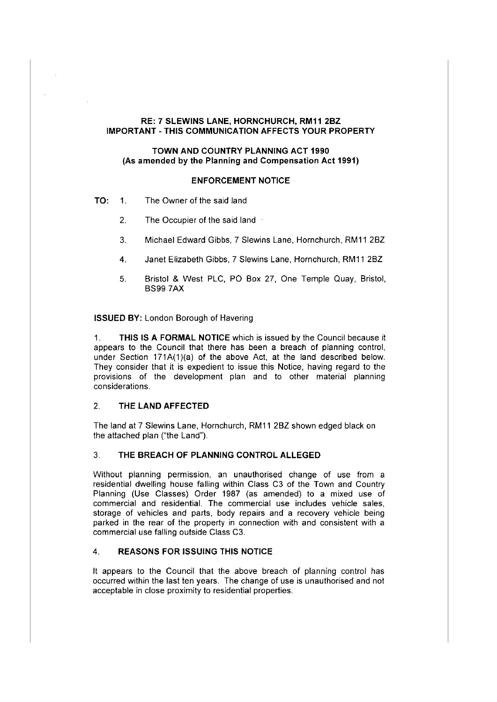# **RE: 7 SLEWINS LANE, HORNCHURCH, RM11 2BZ IMPORTANT-THIS COMMUNICATION AFFECTS YOUR PROPERTY**

# **TOWN AND COUNTRY PLANNING ACT 1990 (As amended by the Planning and Compensation Act 1991)**

# **ENFORCEMENT NOTICE**

- **TO:** 1. The Owner of the said land
	- 2. The Occupier of the said land
	- 3. Michael Edward Gibbs, 7 Slewins Lane, Hornchurch, RM11 2BZ
	- 4. Janet Elizabeth Gibbs, 7 Slewins Lane, Hornchurch, RM11 2BZ
	- 5. Bristol & West PLC, PO Box 27, One Temple Quay, Bristol, BS99 ?AX

#### **ISSUED BY:** London Borough of Havering

1. **THIS IS A FORMAL NOTICE** which is issued by the Council because it appears to the Council that there has been a breach of planning control, under Section 171A(1)(a) of the above Act, at the land described below. They consider that it is expedient to issue this Notice, having regard to the provisions of the development plan and to other material planning considerations.

# 2. **THE LAND AFFECTED**

The land at 7 Slewins Lane, Hornchurch, RM11 2BZ shown edged black on the attached plan ("the Land").

#### 3. **THE BREACH OF PLANNING CONTROL ALLEGED**

Without planning permission, an unauthorised change of use from a residential dwelling house falling within Class C3 of the Town and Country Planning (Use Classes) Order 1987 (as amended) to a mixed use of commercial and residential. The commercial use includes vehicle sales, storage of vehicles and parts, body repairs and a recovery vehicle being parked in the rear of the property in connection with and consistent with a commercial use falling outside Class C3.

#### 4. **REASONS FOR ISSUING THIS NOTICE**

It appears to the Council that the above breach of planning control has occurred within the last ten years. The change of use is unauthorised and not acceptable in close proximity to residential properties.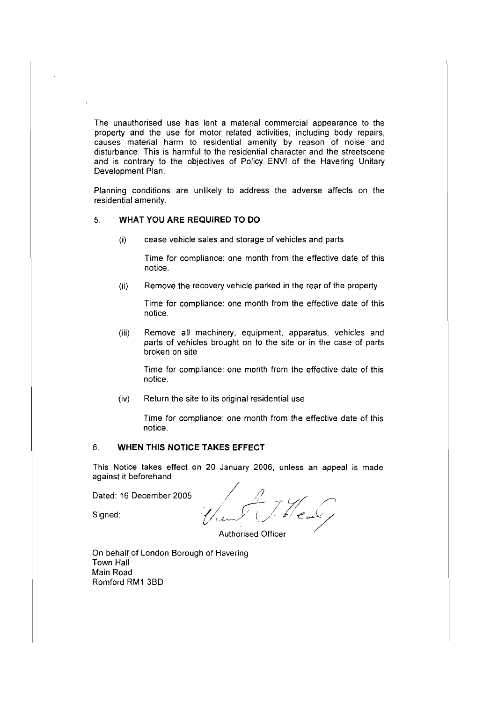The unauthorised use has lent a material commercial appearance to the property and the use for motor related activities, including body repairs, causes material harm to residential amenity by reason of noise and disturbance. This is harmful to the residential character and the streetscene and is contrary to the objectives of Policy ENVI of the Havering Unitary Development Plan.

Planning conditions are unlikely to address the adverse affects on the residential amenity.

# 5. **WHAT YOU ARE REQUIRED TO DO**

(i) cease vehicle sales and storage of vehicles and parts

Time for compliance: one month from the effective date of this notice.

(ii) Remove the recovery vehicle parked in the rear of the property

Time for compliance: one month from the effective date of this notice.

(iii) Remove all machinery, equipment, apparatus, vehicles and parts of vehicles brought on to the site or in the case of parts broken on site

Time for compliance: one month from the effective date of this notice.

(iv) Return the site to its original residential use

Time for compliance: one month from the effective date of this notice.

#### 6. **WHEN THIS NOTICE TAKES EFFECT**

This Notice takes effect on 20 January 2006, unless an appeal is made against it beforehand

Dated: 16 December 2005

*/// c1:* ;/ *Y'* /./' Signed:  $\sqrt{\mu}$  (  $\sqrt{\mu}$  ) for  $\ell$  and  $\ell$ 

Authorised Officer

On behalf of London Borough of Havering Town Hall Main Road Romford RM1 3BD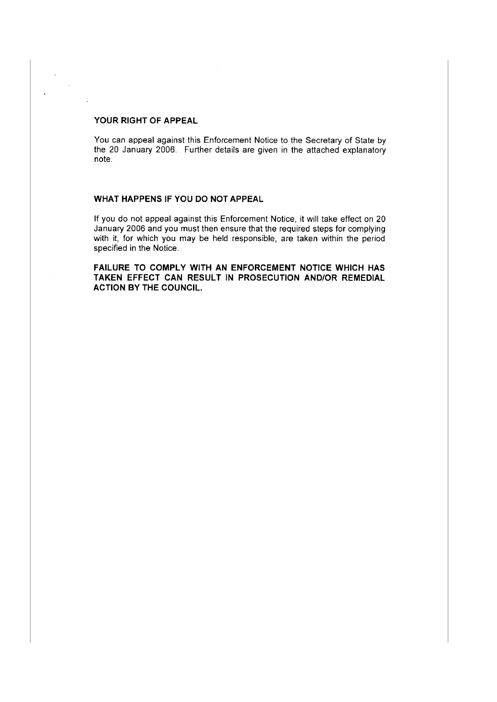### **YOUR RIGHT OF APPEAL**

 $\sim$ 

You can appeal against this Enforcement Notice to the Secretary of State by the 20 January 2006. Further details are given in the attached explanatory note.

# **WHAT HAPPENS IF YOU DO NOT APPEAL**

If you do not appeal against this Enforcement Notice, it will take effect on 20 January 2006 and you must then ensure that the required steps for complying with it, for which you may be held responsible, are taken within the period specified in the Notice.

**FAILURE TO COMPLY WITH AN ENFORCEMENT NOTICE WHICH HAS TAKEN EFFECT CAN RESULT IN PROSECUTION AND/OR REMEDIAL ACTION BY THE COUNCIL.**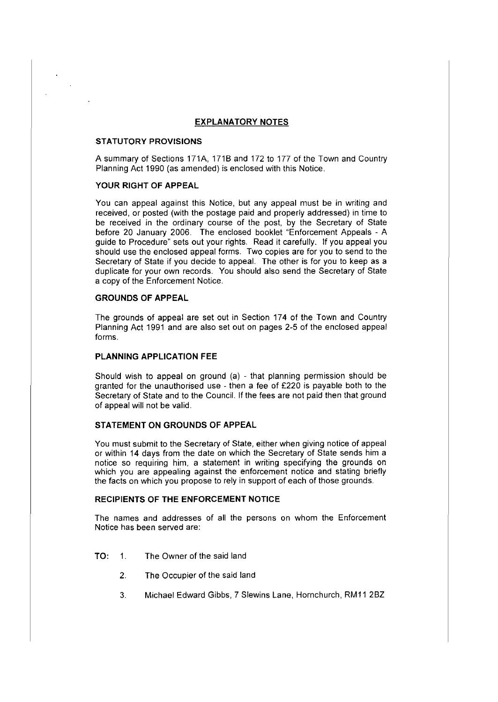### **EXPLANATORY NOTES**

#### **STATUTORY PROVISIONS**

A summary of Sections 171A, 171B and 172 to 177 of the Town and Country Planning Act 1990 (as amended) is enclosed with this Notice.

#### **YOUR RIGHT OF APPEAL**

You can appeal against this Notice, but any appeal must be in writing and received, or posted (with the postage paid and properly addressed) in time to be received in the ordinary course of the post, by the Secretary of State before 20 January 2006. The enclosed booklet "Enforcement Appeals - A guide to Procedure" sets out your rights. Read it carefully. If you appeal you should use the enclosed appeal forms. Two copies are for you to send to the Secretary of State if you decide to appeal. The other is for you to keep as a duplicate for your own records. You should also send the Secretary of State a copy of the Enforcement Notice.

# **GROUNDS OF APPEAL**

The grounds of appeal are set out in Section 174 of the Town and Country Planning Act 1991 and are also set out on pages 2-5 of the enclosed appeal forms.

#### **PLANNING APPLICATION FEE**

Should wish to appeal on ground (a) - that planning permission should be granted for the unauthorised use - then a fee of £220 is payable both to the Secretary of State and to the Council. If the fees are not paid then that ground of appeal will not be valid.

### **STATEMENT ON GROUNDS OF APPEAL**

You must submit to the Secretary of State, either when giving notice of appeal or within 14 days from the date on which the Secretary of State sends him a notice so requiring him, a statement in writing specifying the grounds on which you are appealing against the enforcement notice and stating briefly the facts on which you propose to rely in support of each of those grounds.

#### **RECIPIENTS OF THE ENFORCEMENT NOTICE**

The names and addresses of all the persons on whom the Enforcement Notice has been served are:

- **TO:** 1. The Owner of the said land
	- 2. The Occupier of the said land
	- 3. Michael Edward Gibbs, 7 Slewins Lane, Hornchurch, RM11 2BZ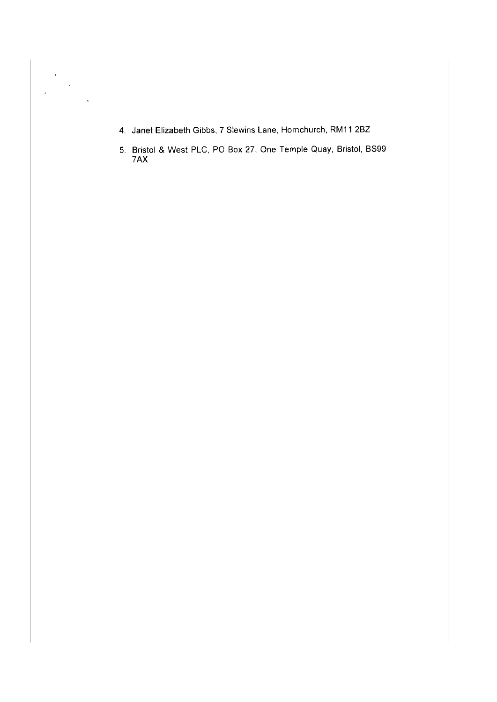4. Janet Elizabeth Gibbs, 7 Slewins Lane, Hornchurch, RM11 2BZ

 $\begin{aligned} \frac{1}{\sqrt{2}}\sum_{i=1}^{n} \frac{1}{\sqrt{2}}\left(\frac{1}{\sqrt{2}}\right)^{2} \frac{1}{\sqrt{2}}\left(\frac{1}{\sqrt{2}}\right)^{2} \frac{1}{\sqrt{2}}\left(\frac{1}{\sqrt{2}}\right)^{2} \frac{1}{\sqrt{2}}\left(\frac{1}{\sqrt{2}}\right)^{2} \frac{1}{\sqrt{2}}\left(\frac{1}{\sqrt{2}}\right)^{2} \frac{1}{\sqrt{2}}\left(\frac{1}{\sqrt{2}}\right)^{2} \frac{1}{\sqrt{2}}\left(\frac{1}{\sqrt{2}}\right)^{2$ 

J.

 $\mathcal{L}$ 

5. Bristol & West PLC, PO Box 27, One Temple Quay, Bristol, BS99 7AX